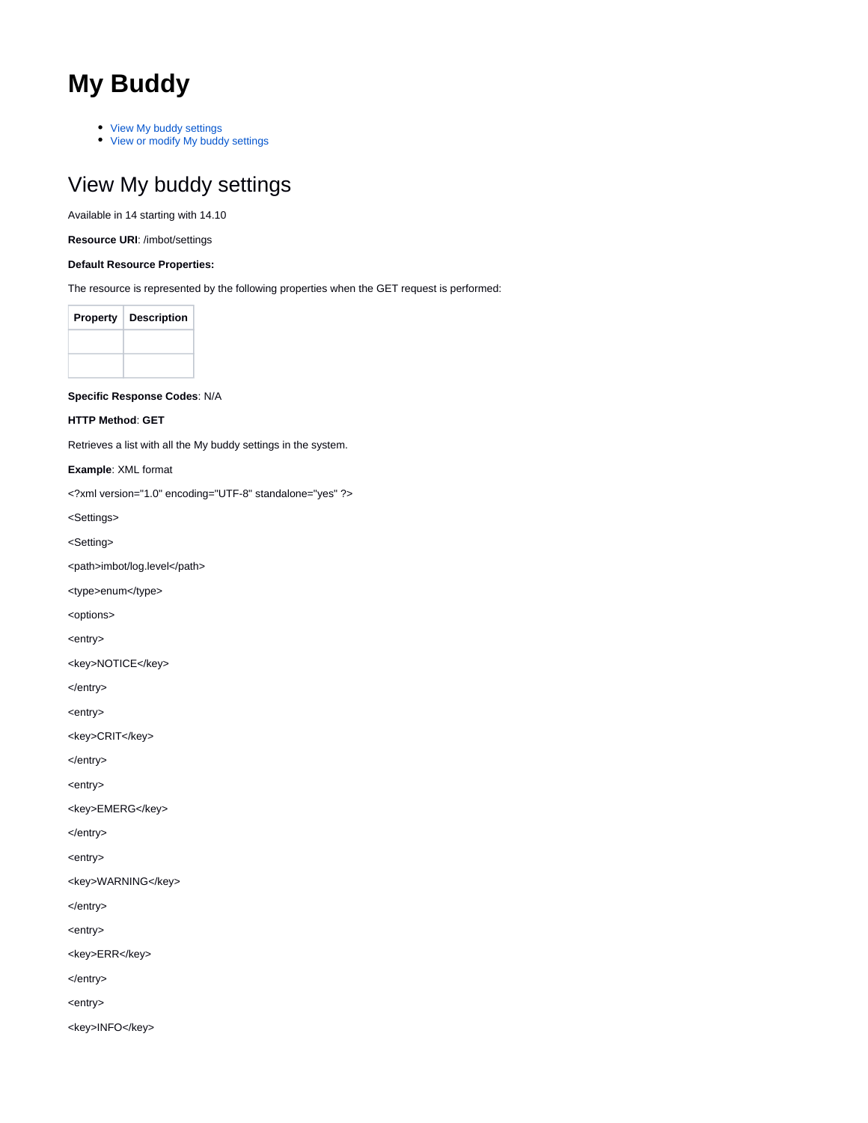# **My Buddy**

- [View My buddy settings](#page-0-0)
- [View or modify My buddy settings](#page-2-0)

# <span id="page-0-0"></span>View My buddy settings

Available in 14 starting with 14.10

**Resource URI**: /imbot/settings

# **Default Resource Properties:**

The resource is represented by the following properties when the GET request is performed:

| <b>Property</b> | <b>Description</b> |
|-----------------|--------------------|
|                 |                    |
|                 |                    |

**Specific Response Codes**: N/A

**HTTP Method**: **GET**

Retrieves a list with all the My buddy settings in the system.

**Example**: XML format

<?xml version="1.0" encoding="UTF-8" standalone="yes" ?>

<Settings>

<Setting>

<path>imbot/log.level</path>

<type>enum</type>

<options>

<entry>

<key>NOTICE</key>

</entry>

<entry>

<key>CRIT</key>

</entry>

<entry>

<key>EMERG</key>

</entry>

<entry>

<key>WARNING</key>

</entry>

<entry>

<key>ERR</key>

</entry>

<entry>

<key>INFO</key>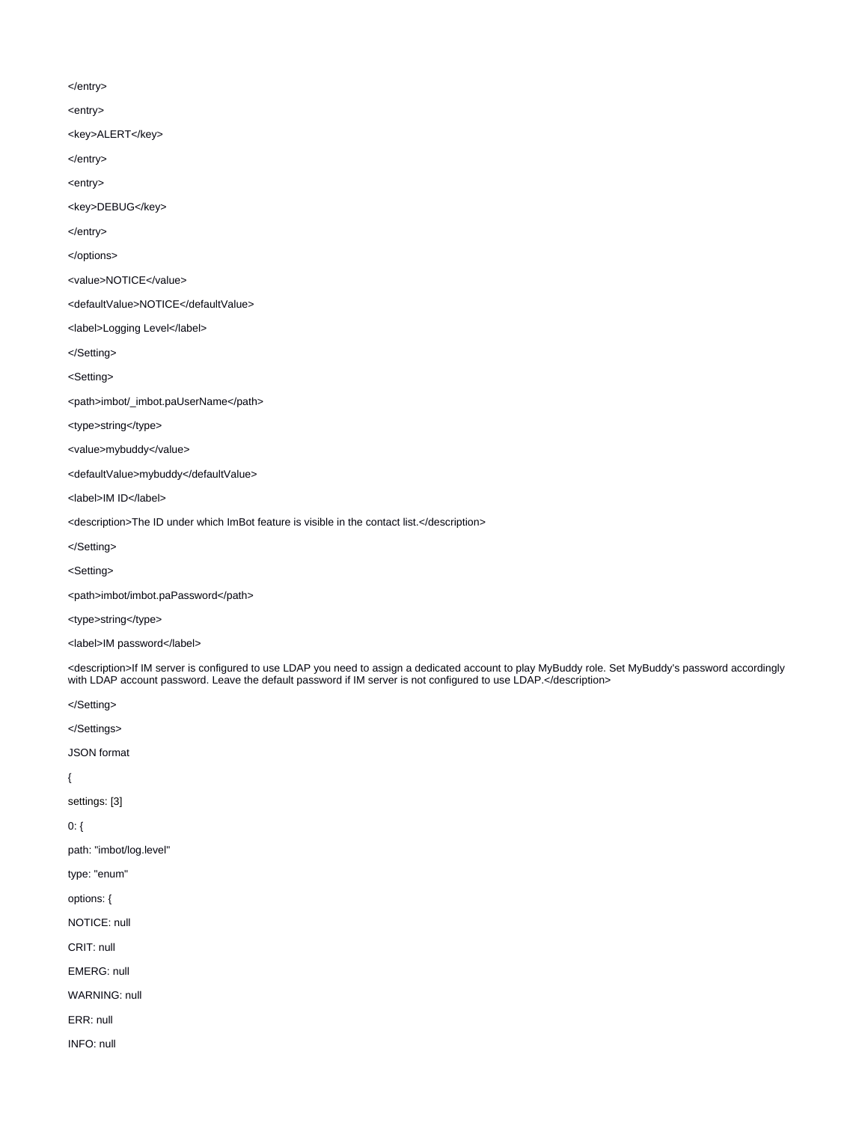</entry>

<entry>

<key>ALERT</key>

</entry>

<entry>

<key>DEBUG</key>

</entry>

</options>

<value>NOTICE</value>

<defaultValue>NOTICE</defaultValue>

<label>Logging Level</label>

</Setting>

<Setting>

<path>imbot/\_imbot.paUserName</path>

<type>string</type>

<value>mybuddy</value>

<defaultValue>mybuddy</defaultValue>

<label>IM ID</label>

<description>The ID under which ImBot feature is visible in the contact list.</description>

</Setting>

<Setting>

<path>imbot/imbot.paPassword</path>

<type>string</type>

<label>IM password</label>

<description>If IM server is configured to use LDAP you need to assign a dedicated account to play MyBuddy role. Set MyBuddy's password accordingly with LDAP account password. Leave the default password if IM server is not configured to use LDAP.</description>

</Setting>

</Settings>

JSON format

{

settings: [3]

0: {

path: "imbot/log.level"

type: "enum"

options: {

NOTICE: null

CRIT: null

EMERG: null

WARNING: null

ERR: null

INFO: null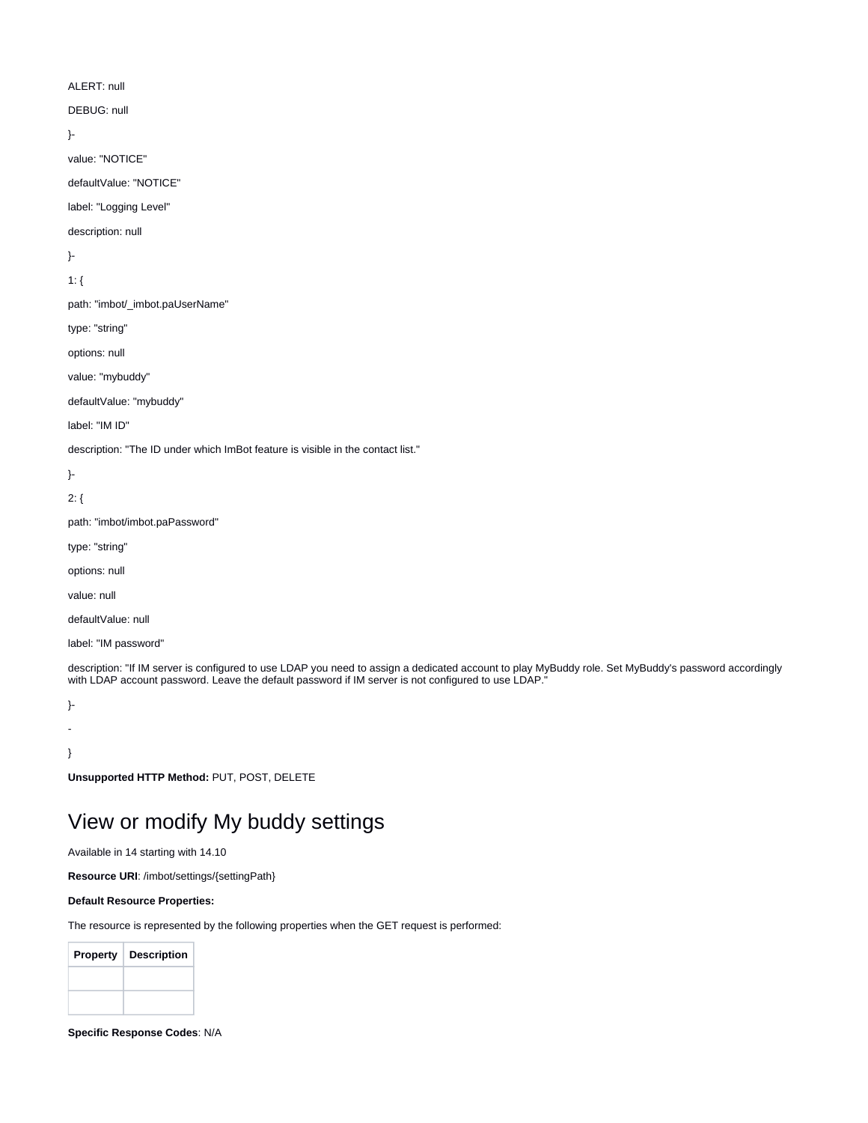## ALERT: null

DEBUG: null

```
}-
```
value: "NOTICE"

defaultValue: "NOTICE"

label: "Logging Level"

description: null

}-

1: {

path: "imbot/\_imbot.paUserName"

type: "string"

options: null

value: "mybuddy"

defaultValue: "mybuddy"

label: "IM ID"

description: "The ID under which ImBot feature is visible in the contact list."

}-

2: {

path: "imbot/imbot.paPassword"

type: "string"

options: null

value: null

defaultValue: null

label: "IM password"

description: "If IM server is configured to use LDAP you need to assign a dedicated account to play MyBuddy role. Set MyBuddy's password accordingly with LDAP account password. Leave the default password if IM server is not configured to use LDAP.

}- -

} **Unsupported HTTP Method:** PUT, POST, DELETE

# <span id="page-2-0"></span>View or modify My buddy settings

Available in 14 starting with 14.10

**Resource URI**: /imbot/settings/{settingPath}

#### **Default Resource Properties:**

The resource is represented by the following properties when the GET request is performed:

| <b>Property</b> | <b>Description</b> |
|-----------------|--------------------|
|                 |                    |
|                 |                    |

**Specific Response Codes**: N/A